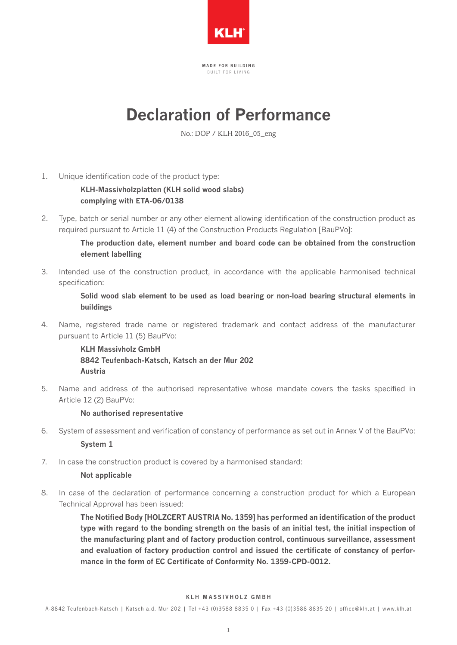

MADE FOR BUILDING B I I I L T F O R L I V I N G

# **Declaration of Performance**

No.: DOP / KLH 2016\_05\_eng

1. Unique identification code of the product type:

**KLH-Massivholzplatten (KLH solid wood slabs) complying with ETA-06/0138**

2. Type, batch or serial number or any other element allowing identification of the construction product as required pursuant to Article 11 (4) of the Construction Products Regulation [BauPVo]:

> **The production date, element number and board code can be obtained from the construction element labelling**

3. Intended use of the construction product, in accordance with the applicable harmonised technical specification:

> **Solid wood slab element to be used as load bearing or non-load bearing structural elements in buildings**

4. Name, registered trade name or registered trademark and contact address of the manufacturer pursuant to Article 11 (5) BauPVo: 

> **KLH Massivholz GmbH 8842 Teufenbach-Katsch, Katsch an der Mur 202 Austria**

5. Name and address of the authorised representative whose mandate covers the tasks specified in Article 12 (2) BauPVo:

## **No authorised representative**

- 6. System of assessment and verification of constancy of performance as set out in Annex V of the BauPVo: **System 1**
- 7. In case the construction product is covered by a harmonised standard:

## **Not applicable**

8. In case of the declaration of performance concerning a construction product for which a European Technical Approval has been issued:

> **The Notified Body [HOLZCERT AUSTRIA No. 1359] has performed an identification of the product type with regard to the bonding strength on the basis of an initial test, the initial inspection of the manufacturing plant and of factory production control, continuous surveillance, assessment and evaluation of factory production control and issued the certificate of constancy of performance in the form of EC Certificate of Conformity No. 1359-CPD-0012.**

#### KLH MASSIVHOLZ GMBH

A-8842 Teufenbach-Katsch | Katsch a.d. Mur 202 | Tel +43 (0)3588 8835 0 | Fax +43 (0)3588 8835 20 | of fice@klh.at | www.klh.at